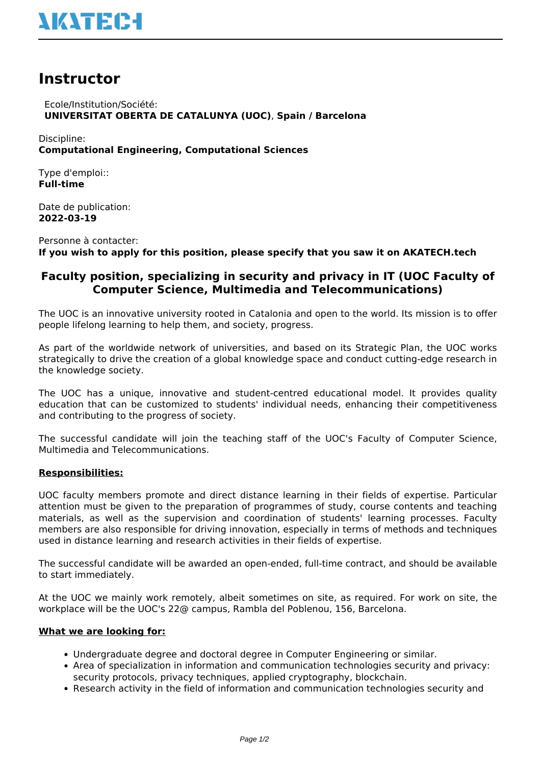# **Instructor**

 Ecole/Institution/Société: **UNIVERSITAT OBERTA DE CATALUNYA (UOC)**, **Spain / Barcelona**

Discipline: **Computational Engineering, Computational Sciences**

Type d'emploi:: **Full-time**

Date de publication: **2022-03-19**

Personne à contacter: **If you wish to apply for this position, please specify that you saw it on AKATECH.tech**

# **Faculty position, specializing in security and privacy in IT (UOC Faculty of Computer Science, Multimedia and Telecommunications)**

The UOC is an innovative university rooted in Catalonia and open to the world. Its mission is to offer people lifelong learning to help them, and society, progress.

As part of the worldwide network of universities, and based on its Strategic Plan, the UOC works strategically to drive the creation of a global knowledge space and conduct cutting-edge research in the knowledge society.

The UOC has a unique, innovative and student-centred educational model. It provides quality education that can be customized to students' individual needs, enhancing their competitiveness and contributing to the progress of society.

The successful candidate will join the teaching staff of the UOC's Faculty of Computer Science, Multimedia and Telecommunications.

# **Responsibilities:**

UOC faculty members promote and direct distance learning in their fields of expertise. Particular attention must be given to the preparation of programmes of study, course contents and teaching materials, as well as the supervision and coordination of students' learning processes. Faculty members are also responsible for driving innovation, especially in terms of methods and techniques used in distance learning and research activities in their fields of expertise.

The successful candidate will be awarded an open-ended, full-time contract, and should be available to start immediately.

At the UOC we mainly work remotely, albeit sometimes on site, as required. For work on site, the workplace will be the UOC's 22@ campus, Rambla del Poblenou, 156, Barcelona.

# **What we are looking for:**

- Undergraduate degree and doctoral degree in Computer Engineering or similar.
- Area of specialization in information and communication technologies security and privacy: security protocols, privacy techniques, applied cryptography, blockchain.
- Research activity in the field of information and communication technologies security and